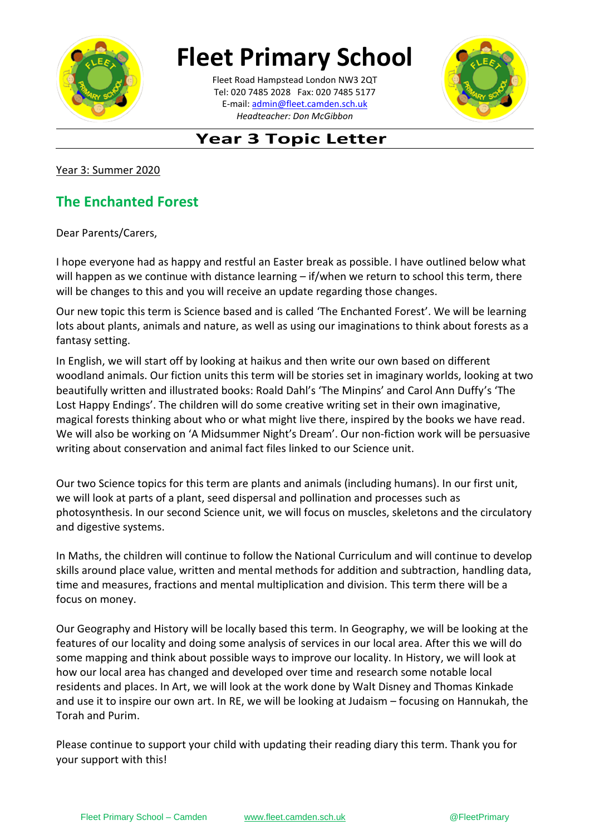

# **Fleet Primary School**

**\_\_\_\_\_\_\_\_\_\_[\\_\\_\\_\\_\\_\\_\\_\\_\\_\\_\\_\\_\\_](mailto:admin@fleet.camden.sch.uk)\_\_\_\_\_\_** E-mail: admin@fleet.camden.sch.uk Fleet Road Hampstead London NW3 2QT Tel: 020 7485 2028 Fax: 020 7485 5177 *Headteacher: Don McGibbon*



## **Year 3 Topic Letter**

Year 3: Summer 2020

### **The Enchanted Forest**

Dear Parents/Carers,

I hope everyone had as happy and restful an Easter break as possible. I have outlined below what will happen as we continue with distance learning – if/when we return to school this term, there will be changes to this and you will receive an update regarding those changes.

Our new topic this term is Science based and is called 'The Enchanted Forest'. We will be learning lots about plants, animals and nature, as well as using our imaginations to think about forests as a fantasy setting.

In English, we will start off by looking at haikus and then write our own based on different woodland animals. Our fiction units this term will be stories set in imaginary worlds, looking at two beautifully written and illustrated books: Roald Dahl's 'The Minpins' and Carol Ann Duffy's 'The Lost Happy Endings'. The children will do some creative writing set in their own imaginative, magical forests thinking about who or what might live there, inspired by the books we have read. We will also be working on 'A Midsummer Night's Dream'. Our non-fiction work will be persuasive writing about conservation and animal fact files linked to our Science unit.

Our two Science topics for this term are plants and animals (including humans). In our first unit, we will look at parts of a plant, seed dispersal and pollination and processes such as photosynthesis. In our second Science unit, we will focus on muscles, skeletons and the circulatory and digestive systems.

In Maths, the children will continue to follow the National Curriculum and will continue to develop skills around place value, written and mental methods for addition and subtraction, handling data, time and measures, fractions and mental multiplication and division. This term there will be a focus on money.

Our Geography and History will be locally based this term. In Geography, we will be looking at the features of our locality and doing some analysis of services in our local area. After this we will do some mapping and think about possible ways to improve our locality. In History, we will look at how our local area has changed and developed over time and research some notable local residents and places. In Art, we will look at the work done by Walt Disney and Thomas Kinkade and use it to inspire our own art. In RE, we will be looking at Judaism – focusing on Hannukah, the Torah and Purim.

Please continue to support your child with updating their reading diary this term. Thank you for your support with this!